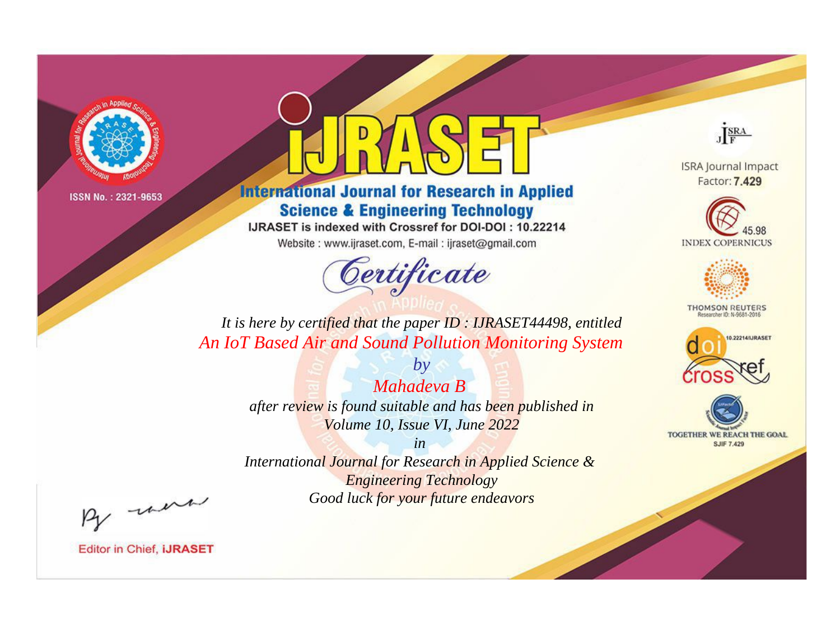

# **International Journal for Research in Applied Science & Engineering Technology**

IJRASET is indexed with Crossref for DOI-DOI: 10.22214

Website: www.ijraset.com, E-mail: ijraset@gmail.com



JERA

**ISRA Journal Impact** Factor: 7.429





**THOMSON REUTERS** 



TOGETHER WE REACH THE GOAL **SJIF 7.429** 

*It is here by certified that the paper ID : IJRASET44498, entitled An IoT Based Air and Sound Pollution Monitoring System*

> *by Mahadeva B after review is found suitable and has been published in Volume 10, Issue VI, June 2022*

> > *in*

*International Journal for Research in Applied Science & Engineering Technology Good luck for your future endeavors*

By morn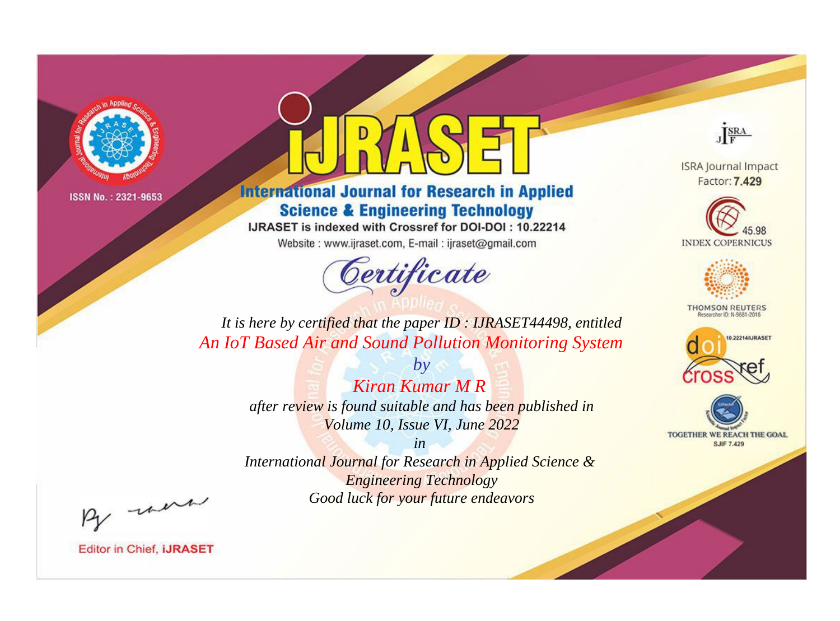

# **International Journal for Research in Applied Science & Engineering Technology**

IJRASET is indexed with Crossref for DOI-DOI: 10.22214

Website: www.ijraset.com, E-mail: ijraset@gmail.com



JERA

**ISRA Journal Impact** Factor: 7.429





**THOMSON REUTERS** 



TOGETHER WE REACH THE GOAL **SJIF 7.429** 

*It is here by certified that the paper ID : IJRASET44498, entitled An IoT Based Air and Sound Pollution Monitoring System*

> *by Kiran Kumar M R after review is found suitable and has been published in Volume 10, Issue VI, June 2022*

> > *in*

*International Journal for Research in Applied Science & Engineering Technology Good luck for your future endeavors*

By morn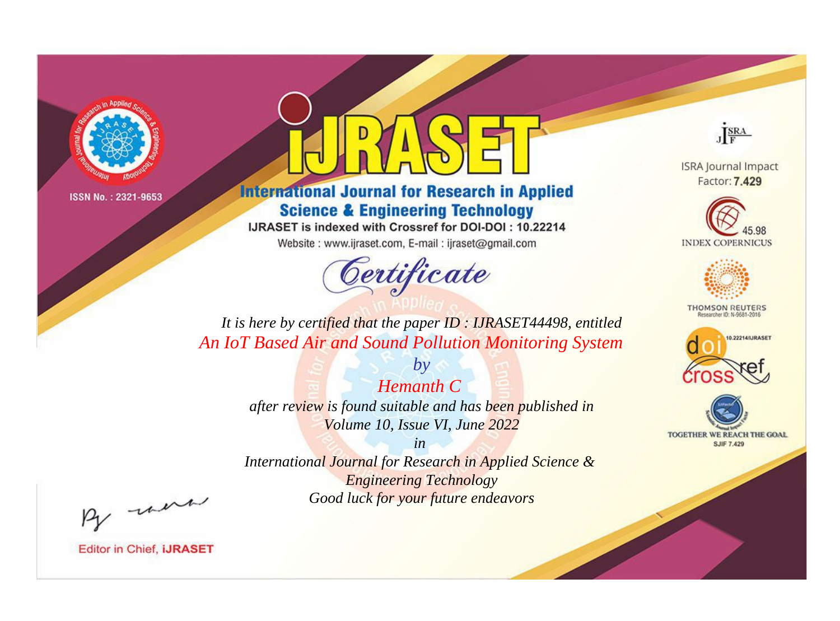

# **International Journal for Research in Applied Science & Engineering Technology**

IJRASET is indexed with Crossref for DOI-DOI: 10.22214

Website: www.ijraset.com, E-mail: ijraset@gmail.com



JERA

**ISRA Journal Impact** Factor: 7.429





**THOMSON REUTERS** 



TOGETHER WE REACH THE GOAL **SJIF 7.429** 

*It is here by certified that the paper ID : IJRASET44498, entitled An IoT Based Air and Sound Pollution Monitoring System*

> *Hemanth C after review is found suitable and has been published in Volume 10, Issue VI, June 2022*

*by*

*in* 

*International Journal for Research in Applied Science & Engineering Technology Good luck for your future endeavors*

By morn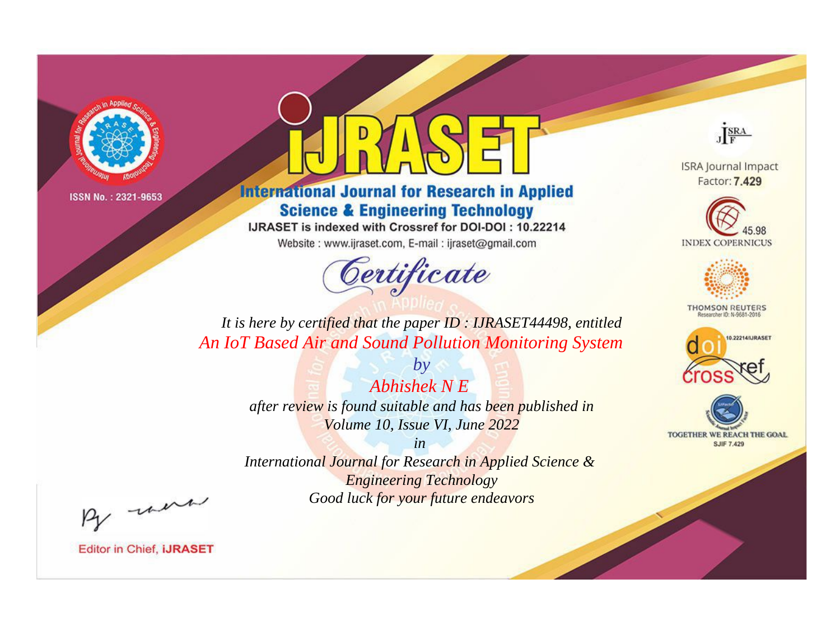

# **International Journal for Research in Applied Science & Engineering Technology**

IJRASET is indexed with Crossref for DOI-DOI: 10.22214

Website: www.ijraset.com, E-mail: ijraset@gmail.com



JERA

**ISRA Journal Impact** Factor: 7.429





**THOMSON REUTERS** 



TOGETHER WE REACH THE GOAL **SJIF 7.429** 

*It is here by certified that the paper ID : IJRASET44498, entitled An IoT Based Air and Sound Pollution Monitoring System*

> *by Abhishek N E after review is found suitable and has been published in Volume 10, Issue VI, June 2022*

> > *in*

*International Journal for Research in Applied Science & Engineering Technology Good luck for your future endeavors*

By morn